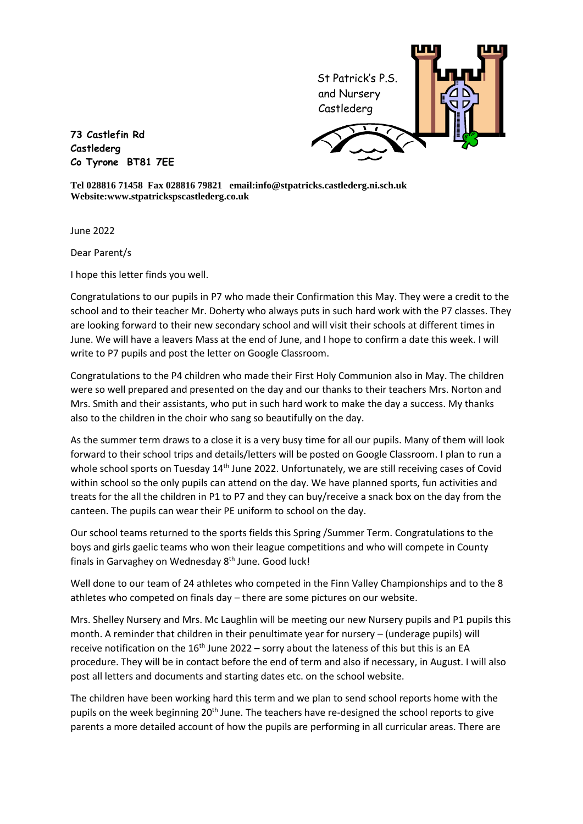

**73 Castlefin Rd Castlederg Co Tyrone BT81 7EE**

**Tel 028816 71458 Fax 028816 79821 email:info@stpatricks.castlederg.ni.sch.uk Website:www.stpatrickspscastlederg.co.uk**

June 2022

Dear Parent/s

I hope this letter finds you well.

Congratulations to our pupils in P7 who made their Confirmation this May. They were a credit to the school and to their teacher Mr. Doherty who always puts in such hard work with the P7 classes. They are looking forward to their new secondary school and will visit their schools at different times in June. We will have a leavers Mass at the end of June, and I hope to confirm a date this week. I will write to P7 pupils and post the letter on Google Classroom.

Congratulations to the P4 children who made their First Holy Communion also in May. The children were so well prepared and presented on the day and our thanks to their teachers Mrs. Norton and Mrs. Smith and their assistants, who put in such hard work to make the day a success. My thanks also to the children in the choir who sang so beautifully on the day.

As the summer term draws to a close it is a very busy time for all our pupils. Many of them will look forward to their school trips and details/letters will be posted on Google Classroom. I plan to run a whole school sports on Tuesday 14<sup>th</sup> June 2022. Unfortunately, we are still receiving cases of Covid within school so the only pupils can attend on the day. We have planned sports, fun activities and treats for the all the children in P1 to P7 and they can buy/receive a snack box on the day from the canteen. The pupils can wear their PE uniform to school on the day.

Our school teams returned to the sports fields this Spring /Summer Term. Congratulations to the boys and girls gaelic teams who won their league competitions and who will compete in County finals in Garvaghey on Wednesday 8<sup>th</sup> June. Good luck!

Well done to our team of 24 athletes who competed in the Finn Valley Championships and to the 8 athletes who competed on finals day – there are some pictures on our website.

Mrs. Shelley Nursery and Mrs. Mc Laughlin will be meeting our new Nursery pupils and P1 pupils this month. A reminder that children in their penultimate year for nursery – (underage pupils) will receive notification on the  $16<sup>th</sup>$  June 2022 – sorry about the lateness of this but this is an EA procedure. They will be in contact before the end of term and also if necessary, in August. I will also post all letters and documents and starting dates etc. on the school website.

The children have been working hard this term and we plan to send school reports home with the pupils on the week beginning 20<sup>th</sup> June. The teachers have re-designed the school reports to give parents a more detailed account of how the pupils are performing in all curricular areas. There are